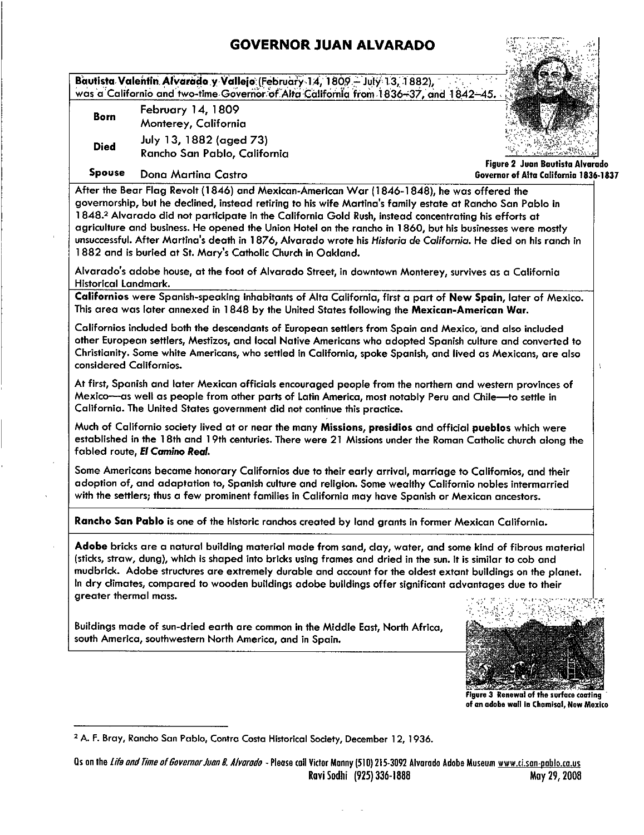## **GOVERNOR JUAN ALVARADO**

Bautista Valentin Alvarado y Vallejo (February 14, 1809 – July 13, 1882),<br>was a Californio and two-time Governor of Alta California from 1836–37, and 1842–45. **GOVERNOR JUAN ALVARADO**<br>
y/Vallejo (February-14, 1809 – July 13, 1882),<br>
e-Governor of Alta California from 1836–37, and 1842–45<br>
IBO9<br> **Ilfornia** GOVERNOR JUAN ALVARADO<br>
Bautista Valentin Alvarado y Vallejo (February 14, 1809 – July 13, 1882),<br>
was a Californio and two-time Governor of Alta California from 1836-37, and 1842–45<br>
Born Monterey, California

Bautista Valentin Alvarade<br>
was a Californio and two-tin<br>
Born February 14,<br>
Monterey, Contrator Unity 13, 188<br>
Died Rancho San P Born February 14, 1809 Monterey, California Died July 13, 1882 (aged 73) Rancho San Pablo, California



Figure 2 Juan Bautista Alvarodo

Spouse Dona Martina Castro Governor Governor of Alta California 1836-1837

Boyson Dona Martina Castro<br>After the Bear Flag Revolt (1846) and Mexican-American War (1846-1848), he was offered the<br>Experimental had a declined instead retiring to his wife, therein the first set of Danger Sea D Figure 2 Juan Bauti<br>
Spouse Dona Martina Castro<br>
After the Bear Flag Revolt (1846) and Mexican-American War (1846-1848), he was offered the<br>
governorship, but he declined, instead retiring to his wife Martina's family esta 1848.<sup>2</sup> Alvarado did not participate in the California Gold Rush, instead concentrating his efforts at agriculture and business. He opened the Union Hotel on the rancho in 1860, but his businesses were mostly unsuccessful, Martina Castro Castro Castro Covernor of Aria California<br>After the Bear Flag Revolt (1846) and Mexican-American War (1846-1848), he was offered the<br>governorship, but he declined, instead retiring to his wife governorship, but he declined, instead retiring to his wife Martina's family estate at Rancho San Pablo in 1848.<sup>2</sup> Alvarado did not participate in the California Gold Rush, instead concentrating his efforts at agriculture

Historical Landmark

Californios were Spanish-speaking inhabitants of Alta California, first a part of New Spain, later of Mexico. This area was later annexed in <sup>1848</sup> by the United States following the Mexican American War

Californios included both the descendants of European settlers from Spain and Mexico, and also included other European settlers, Mestizos, and local Native Americans who adopted Spanish culture and converted to Christianity. Some white Americans, who settled in California, spoke Spanish, and lived as Mexicans, are also considered Californios

At first Spanish and later Mexican officials encouraged people from the northern and western provinces of Mexico-as well as people from other parts of Latin America, most notably Peru and Chile-to settle in California. The United States government did not continue this practice.

Much of Californio society lived at or near the many Missions presidios and official pueblos which were established in the 18th and 19th centuries. There were 21 Missions under the Roman Catholic church along the fabled route, El Camino Real.

Some Americans became honorary Californios due to their early arrival, marriage to Californios, and their adoption of, and adaptation to, Spanish culture and religion. Some wealthy Californio nobles intermarried with the settlers; thus a few prominent families in California may have Spanish or Mexican ancestors.

Rancho San Pablo is one of the historic ranchos created by land grants in former Mexican California

Adobe bricks are a natural building material made from sand, clay, water, and some kind of fibrous material (sticks, straw, dung), which is shaped into bricks using frames and dried in the sun. It is similar to cob and mudbrick. Adobe structures are extremely durable and account for the oldest extant buildings on the planet.<br>
In dry climates, compared to wooden buildings adobe buildings offer significant advantages due to their<br>
greater In dry climates, compared to wooden buildings adobe buildings offer significant advantages due to their<br>greater thermal mass.<br>Buildings made of sun-dried earth are common in the Middle East, North Africa, greater thermal mass.

Buildings made of sun-dried earth are common in the Middle East, North Africa. south America, southwestern North America, and in Spain.



Figure 3 Renewal of the surface coating of an adobe wall in Chamisal, New Mexico

<sup>&</sup>lt;sup>2</sup> A. F. Bray, Rancho San Pablo, Contra Costa Historical Society, December 12, 1936.